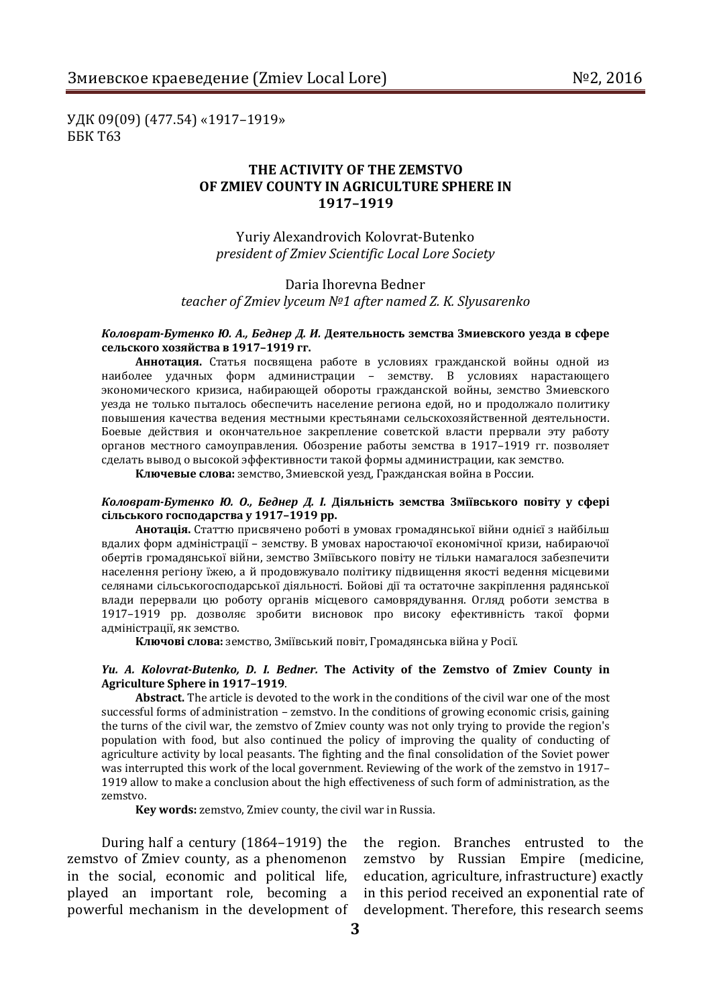During half a century (1864–1919) the zemstvo of Zmiev county, as a phenomenon in the social, economic and political life, played an important role, becoming a

**сільського господарства у 1917–1919 рр.**

powerful mechanism in the development of development. Therefore, this research seems the region. Branches entrusted to the zemstvo by Russian Empire (medicine, education, agriculture, infrastructure) exactly in this period received an exponential rate of

#### 1919 allow to make a conclusion about the high effectiveness of such form of administration, as the zemstvo.

**Key words:** zemstvo, Zmiev county, the civil war in Russia.

### successful forms of administration – zemstvo. In the conditions of growing economic crisis, gaining the turns of the civil war, the zemstvo of Zmiev county was not only trying to provide the region's population with food, but also continued the policy of improving the quality of conducting of

agriculture activity by local peasants. The fighting and the final consolidation of the Soviet power was interrupted this work of the local government. Reviewing of the work of the zemstvo in 1917–

вдалих форм адміністрації – земству. В умовах наростаючої економічної кризи, набираючої обертів громадянської війни, земство Зміївського повіту не тільки намагалося забезпечити населення регіону їжею, а й продовжувало політику підвищення якості ведення місцевими селянами сільськогосподарської діяльності. Бойові дії та остаточне закріплення радянської влади перервали цю роботу органів місцевого самоврядування. Огляд роботи земства в 1917–1919 рр. дозволяє зробити висновок про високу ефективність такої форми адміністрації, як земство. **Ключові слова:** земство, Зміївський повіт, Громадянська війна у Росії.

## *Yu. A. Kolovrat-Butenko, D. I. Bedner.* **The Activity of the Zemstvo of Zmiev County in Agriculture Sphere in 1917–1919**.

**Abstract.** The article is devoted to the work in the conditions of the civil war one of the most

**Анотація.** Статтю присвячено роботі в умовах громадянської війни однієї з найбільш

*Коловрат-Бутенко Ю. О., Беднер Д. І.* **Діяльність земства Зміївського повіту у сфері** 

органов местного самоуправления. Обозрение работы земства в 1917–1919 гг. позволяет сделать вывод о высокой эффективности такой формы администрации, как земство. **Ключевые слова:** земство, Змиевской уезд, Гражданская война в России.

*Коловрат-Бутенко Ю. А., Беднер Д. И.* **Деятельность земства Змиевского уезда в сфере сельского хозяйства в 1917–1919 гг. Аннотация.** Статья посвящена работе в условиях гражданской войны одной из

наиболее удачных форм администрации – земству. В условиях нарастающего экономического кризиса, набирающей обороты гражданской войны, земство Змиевского уезда не только пыталось обеспечить население региона едой, но и продолжало политику повышения качества ведения местными крестьянами сельскохозяйственной деятельности. Боевые действия и окончательное закрепление советской власти прервали эту работу

# **THE ACTIVITY OF THE ZEMSTVO OF ZMIEV COUNTY IN AGRICULTURE SPHERE IN 1917–1919**

Yuriy Alexandrovich Kolovrat-Butenko *president of Zmiev Scientific Local Lore Society*

Daria Ihorevna Bedner *teacher of Zmiev lyceum №1 after named Z. K. Slyusarenko*

УДК 09(09) (477.54) «1917–1919»

ББК Т63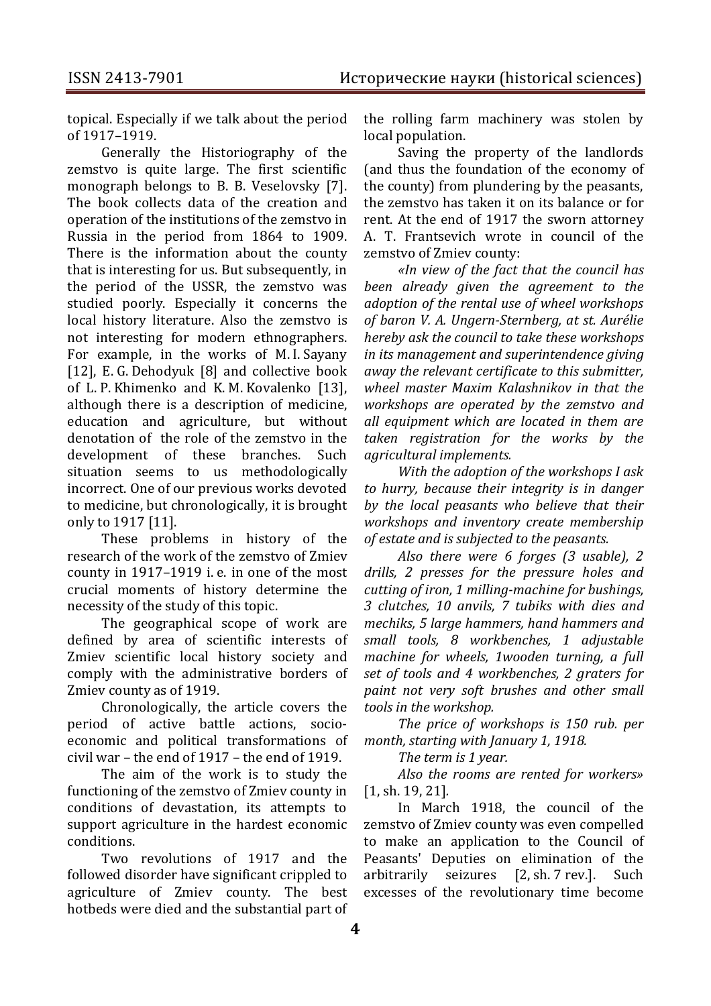topical. Especially if we talk about the period of 1917–1919.

Generally the Historiography of the zemstvo is quite large. The first scientific monograph belongs to B. B. Veselovsky [7]. The book collects data of the creation and operation of the institutions of the zemstvo in Russia in the period from 1864 to 1909. There is the information about the county that is interesting for us. But subsequently, in the period of the USSR, the zemstvo was studied poorly. Especially it concerns the local history literature. Also the zemstvo is not interesting for modern ethnographers. For example, in the works of M. I. Sayany [12], E. G. Dehodyuk [8] and collective book of L. P. Khimenko and K. M. Kovalenko [13], although there is a description of medicine, education and agriculture, but without denotation of the role of the zemstvo in the development of these branches. Such situation seems to us methodologically incorrect. One of our previous works devoted to medicine, but chronologically, it is brought only to 1917 [11].

These problems in history of the research of the work of the zemstvo of Zmiev county in 1917–1919 i. e. in one of the most crucial moments of history determine the necessity of the study of this topic.

The geographical scope of work are defined by area of scientific interests of Zmiev scientific local history society and comply with the administrative borders of Zmiev county as of 1919.

Chronologically, the article covers the period of active battle actions, socioeconomic and political transformations of civil war – the end of 1917 – the end of 1919.

The aim of the work is to study the functioning of the zemstvo of Zmiev county in conditions of devastation, its attempts to support agriculture in the hardest economic conditions.

Two revolutions of 1917 and the followed disorder have significant crippled to agriculture of Zmiev county. The best hotbeds were died and the substantial part of

the rolling farm machinery was stolen by local population.

Saving the property of the landlords (and thus the foundation of the economy of the county) from plundering by the peasants, the zemstvo has taken it on its balance or for rent. At the end of 1917 the sworn attorney A. T. Frantsevich wrote in council of the zemstvo of Zmiev county:

*«In view of the fact that the council has been already given the agreement to the adoption of the rental use of wheel workshops of baron V. A. Ungern-Sternberg, at st. Aurélie hereby ask the council to take these workshops in its management and superintendence giving away the relevant certificate to this submitter, wheel master Maxim Kalashnikov in that the workshops are operated by the zemstvo and all equipment which are located in them are taken registration for the works by the agricultural implements.*

*With the adoption of the workshops I ask to hurry, because their integrity is in danger by the local peasants who believe that their workshops and inventory create membership of estate and is subjected to the peasants.*

*Also there were 6 forges (3 usable), 2 drills, 2 presses for the pressure holes and cutting of iron, 1 milling-machine for bushings, 3 clutches, 10 anvils, 7 tubiks with dies and mechiks, 5 large hammers, hand hammers and small tools, 8 workbenches, 1 adjustable machine for wheels, 1wooden turning, a full set of tools and 4 workbenches, 2 graters for paint not very soft brushes and other small tools in the workshop.*

*The price of workshops is 150 rub. per month, starting with January 1, 1918.*

*The term is 1 year.*

*Also the rooms are rented for workers»* [1, sh. 19, 21]*.*

In March 1918, the council of the zemstvo of Zmiev county was even compelled to make an application to the Council of Peasants' Deputies on elimination of the arbitrarily seizures [2, sh. 7 rev.]. Such excesses of the revolutionary time become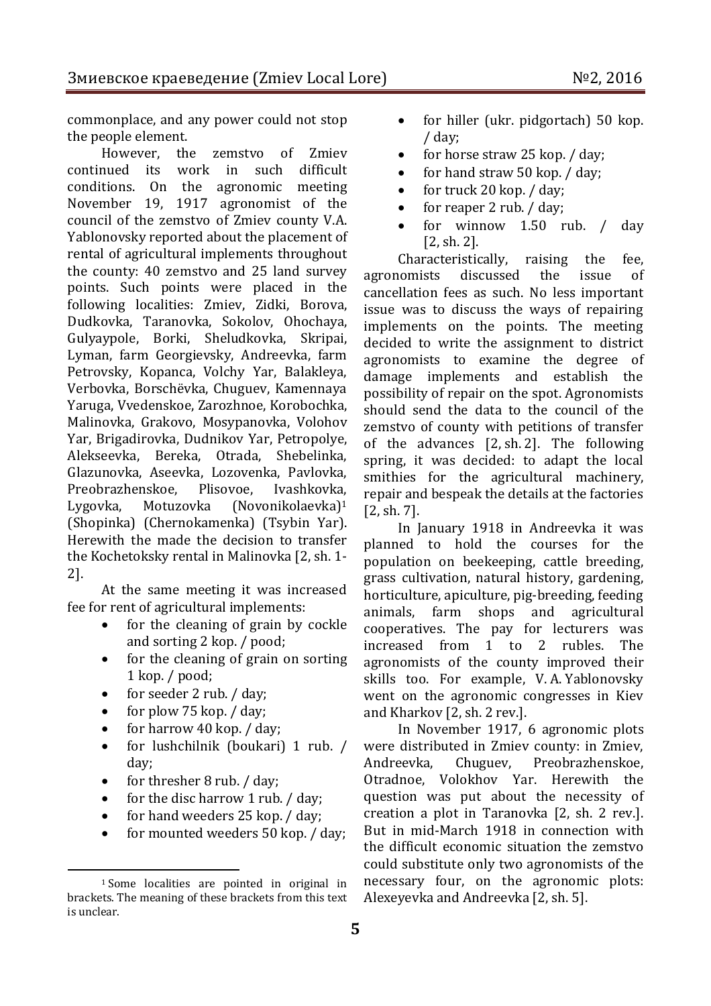commonplace, and any power could not stop the people element.

However, the zemstvo of Zmiev continued its work in such difficult conditions. On the agronomic meeting November 19, 1917 agronomist of the council of the zemstvo of Zmiev county V.A. Yablonovsky reported about the placement of rental of agricultural implements throughout the county: 40 zemstvo and 25 land survey points. Such points were placed in the following localities: Zmiev, Zidki, Borova, Dudkovka, Taranovka, Sokolov, Ohochaya, Gulyaypole, Borki, Sheludkovka, Skripai, Lyman, farm Georgievsky, Andreevka, farm Petrovsky, Kopanca, Volchy Yar, Balakleya, Verbovka, Borschёvka, Chuguev, Kamennaya Yaruga, Vvedenskoe, Zarozhnoe, Korobochka, Malinovka, Grakovo, Mosypanovka, Volohov Yar, Brigadirovka, Dudnikov Yar, Petropolye, Alekseevka, Bereka, Otrada, Shebelinka, Glazunovka, Aseevka, Lozovenka, Pavlovka, Preobrazhenskoe, Plisovoe, Ivashkovka, Lygovka, Motuzovka (Novonikolaevka)<sup>1</sup> (Shopinka) (Chernokamenka) (Tsybin Yar). Herewith the made the decision to transfer the Kochetoksky rental in Malinovka [2, sh. 1- 2].

At the same meeting it was increased fee for rent of agricultural implements:

- for the cleaning of grain by cockle and sorting 2 kop. / pood;
- for the cleaning of grain on sorting 1 kop. / pood;
- for seeder 2 rub. / day;
- for plow 75 kop. / day;
- for harrow 40 kop. / day;
- for lushchilnik (boukari) 1 rub. / day;
- for thresher 8 rub. / day;

 $\overline{a}$ 

- for the disc harrow 1 rub.  $\frac{1}{1}$  day;
- for hand weeders 25 kop. / day;
- for mounted weeders 50 kop. / day;
- for hiller (ukr. pidgortach) 50 kop. / day;
- for horse straw 25 kop. / day;
- for hand straw 50 kop. / day;
- $\bullet$  for truck 20 kop. / day;
- for reaper 2 rub. / day:
- for winnow 1.50 rub. / day [2, sh. 2].

Characteristically, raising the fee, agronomists discussed the issue of cancellation fees as such. No less important issue was to discuss the ways of repairing implements on the points. The meeting decided to write the assignment to district agronomists to examine the degree of damage implements and establish the possibility of repair on the spot. Agronomists should send the data to the council of the zemstvo of county with petitions of transfer of the advances [2, sh. 2]. The following spring, it was decided: to adapt the local smithies for the agricultural machinery, repair and bespeak the details at the factories [2, sh. 7].

In January 1918 in Andreevka it was planned to hold the courses for the population on beekeeping, cattle breeding, grass cultivation, natural history, gardening, horticulture, apiculture, pig-breeding, feeding animals, farm shops and agricultural cooperatives. The pay for lecturers was increased from 1 to 2 rubles. The agronomists of the county improved their skills too. For example, V. A. Yablonovsky went on the agronomic congresses in Kiev and Kharkov [2, sh. 2 rev.].

In November 1917, 6 agronomic plots were distributed in Zmiev county: in Zmiev, Andreevka, Chuguev, Preobrazhenskoe, Otradnoe, Volokhov Yar. Herewith the question was put about the necessity of creation a plot in Taranovka [2, sh. 2 rev.]. But in mid-March 1918 in connection with the difficult economic situation the zemstvo could substitute only two agronomists of the necessary four, on the agronomic plots: Alexeyevka and Andreevka [2, sh. 5].

<sup>1</sup> Some localities are pointed in original in brackets. The meaning of these brackets from this text is unclear.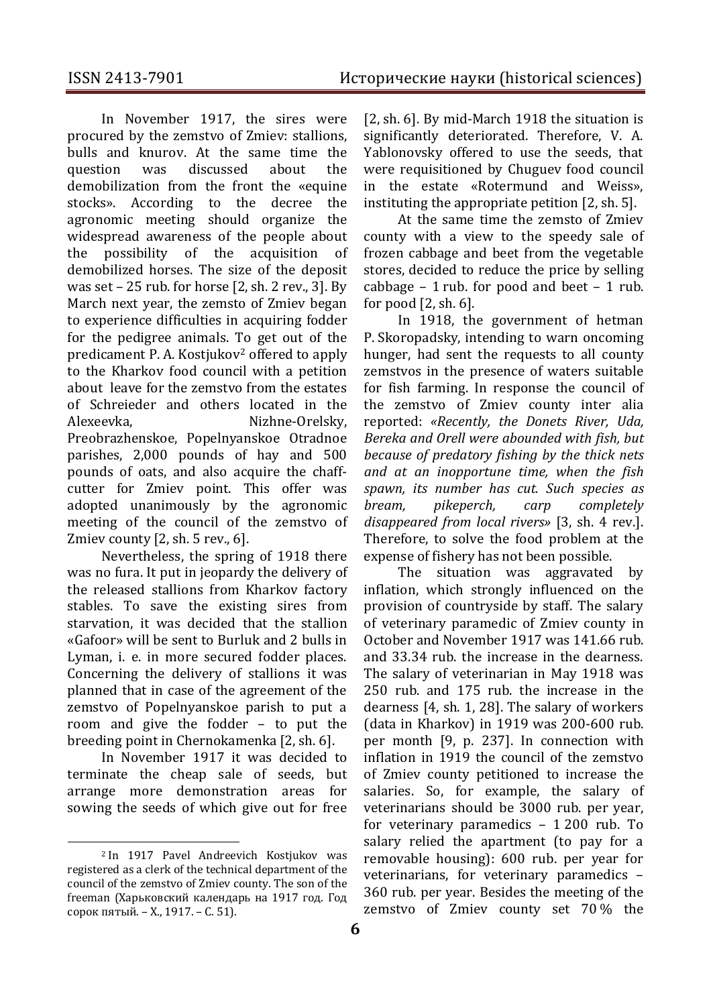In November 1917, the sires were procured by the zemstvo of Zmiev: stallions, bulls and knurov. At the same time the question was discussed about the demobilization from the front the «equine stocks». According to the decree the agronomic meeting should organize the widespread awareness of the people about the possibility of the acquisition of demobilized horses. The size of the deposit was set – 25 rub. for horse [2, sh. 2 rev., 3]. By March next year, the zemsto of Zmiev began to experience difficulties in acquiring fodder for the pedigree animals. To get out of the predicament P. A. Kostjukov<sup>2</sup> offered to apply to the Kharkov food council with a petition about leave for the zemstvo from the estates of Schreieder and others located in the Alexeevka, Nizhne-Orelsky, Preobrazhenskoe, Popelnyanskoe Otradnoe parishes, 2,000 pounds of hay and 500 pounds of oats, and also acquire the chaffcutter for Zmiev point. This offer was adopted unanimously by the agronomic meeting of the council of the zemstvo of Zmiev county [2, sh. 5 rev., 6].

Nevertheless, the spring of 1918 there was no fura. It put in jeopardy the delivery of the released stallions from Kharkov factory stables. To save the existing sires from starvation, it was decided that the stallion «Gafoor» will be sent to Burluk and 2 bulls in Lyman, i. e. in more secured fodder places. Concerning the delivery of stallions it was planned that in case of the agreement of the zemstvo of Popelnyanskoe parish to put a room and give the fodder – to put the breeding point in Chernokamenka [2, sh. 6].

In November 1917 it was decided to terminate the cheap sale of seeds, but arrange more demonstration areas for sowing the seeds of which give out for free

 $\overline{a}$ 

[2, sh. 6]. By mid-March 1918 the situation is significantly deteriorated. Therefore, V. A. Yablonovsky offered to use the seeds, that were requisitioned by Chuguev food council in the estate «Rotermund and Weiss», instituting the appropriate petition [2, sh. 5].

At the same time the zemsto of Zmiev county with a view to the speedy sale of frozen cabbage and beet from the vegetable stores, decided to reduce the price by selling cabbage  $-1$  rub. for pood and beet  $-1$  rub. for pood [2, sh. 6].

In 1918, the government of hetman P. Skoropadsky, intending to warn oncoming hunger, had sent the requests to all county zemstvos in the presence of waters suitable for fish farming. In response the council of the zemstvo of Zmiev county inter alia reported: *«Recently, the Donets River, Uda, Bereka and Orell were abounded with fish, but because of predatory fishing by the thick nets and at an inopportune time, when the fish spawn, its number has cut. Such species as bream, pikeperch, carp completely disappeared from local rivers»* [3, sh. 4 rev.]. Therefore, to solve the food problem at the expense of fishery has not been possible.

The situation was aggravated by inflation, which strongly influenced on the provision of countryside by staff. The salary of veterinary paramedic of Zmiev county in October and November 1917 was 141.66 rub. and 33.34 rub. the increase in the dearness. The salary of veterinarian in May 1918 was 250 rub. and 175 rub. the increase in the dearness [4, sh. 1, 28]. The salary of workers (data in Kharkov) in 1919 was 200-600 rub. per month [9, p. 237]. In connection with inflation in 1919 the council of the zemstvo of Zmiev county petitioned to increase the salaries. So, for example, the salary of veterinarians should be 3000 rub. per year, for veterinary paramedics – 1 200 rub. To salary relied the apartment (to pay for a removable housing): 600 rub. per year for veterinarians, for veterinary paramedics – 360 rub. per year. Besides the meeting of the zemstvo of Zmiev county set 70 % the

<sup>2</sup> In 1917 Pavel Andreevich Kostjukov was registered as a clerk of the technical department of the council of the zemstvo of Zmiev county. The son of the freeman (Харьковский календарь на 1917 год. Год сорок пятый. – Х., 1917. – С. 51).